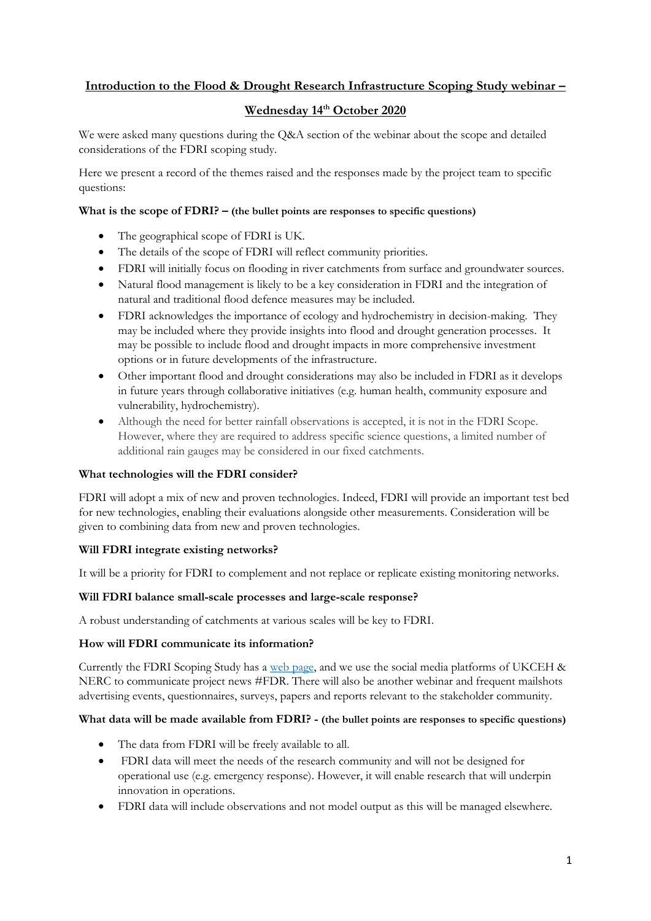# **Introduction to the Flood & Drought Research Infrastructure Scoping Study webinar –**

# **Wednesday 14th October 2020**

We were asked many questions during the Q&A section of the webinar about the scope and detailed considerations of the FDRI scoping study.

Here we present a record of the themes raised and the responses made by the project team to specific questions:

#### **What is the scope of FDRI? – (the bullet points are responses to specific questions)**

- The geographical scope of FDRI is UK.
- The details of the scope of FDRI will reflect community priorities.
- FDRI will initially focus on flooding in river catchments from surface and groundwater sources.
- Natural flood management is likely to be a key consideration in FDRI and the integration of natural and traditional flood defence measures may be included.
- FDRI acknowledges the importance of ecology and hydrochemistry in decision-making. They may be included where they provide insights into flood and drought generation processes. It may be possible to include flood and drought impacts in more comprehensive investment options or in future developments of the infrastructure.
- Other important flood and drought considerations may also be included in FDRI as it develops in future years through collaborative initiatives (e.g. human health, community exposure and vulnerability, hydrochemistry).
- Although the need for better rainfall observations is accepted, it is not in the FDRI Scope. However, where they are required to address specific science questions, a limited number of additional rain gauges may be considered in our fixed catchments.

## **What technologies will the FDRI consider?**

FDRI will adopt a mix of new and proven technologies. Indeed, FDRI will provide an important test bed for new technologies, enabling their evaluations alongside other measurements. Consideration will be given to combining data from new and proven technologies.

## **Will FDRI integrate existing networks?**

It will be a priority for FDRI to complement and not replace or replicate existing monitoring networks.

#### **Will FDRI balance small-scale processes and large-scale response?**

A robust understanding of catchments at various scales will be key to FDRI.

#### **How will FDRI communicate its information?**

Currently the FDRI Scoping Study has a [web page,](https://www.ceh.ac.uk/our-science/projects/floods-and-droughts-research-infrastructure-project-fdri) and we use the social media platforms of UKCEH & NERC to communicate project news #FDR. There will also be another webinar and frequent mailshots advertising events, questionnaires, surveys, papers and reports relevant to the stakeholder community.

#### **What data will be made available from FDRI? - (the bullet points are responses to specific questions)**

- The data from FDRI will be freely available to all.
- FDRI data will meet the needs of the research community and will not be designed for operational use (e.g. emergency response). However, it will enable research that will underpin innovation in operations.
- FDRI data will include observations and not model output as this will be managed elsewhere.